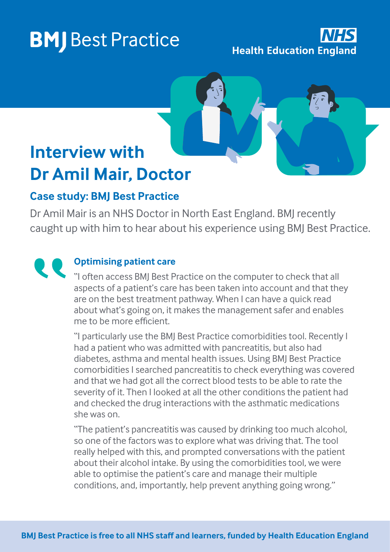# **BMJ** Best Practice

**Health Education England** 

## **Interview with Dr Amil Mair, Doctor**

### **Case study: BMJ Best Practice**

Dr Amil Mair is an NHS Doctor in North East England. BMJ recently caught up with him to hear about his experience using BMJ Best Practice.

#### **Optimising patient care**

"I often access BMJ Best Practice on the computer to check that all aspects of a patient's care has been taken into account and that they are on the best treatment pathway. When I can have a quick read about what's going on, it makes the management safer and enables me to be more efficient.

"I particularly use the BMJ Best Practice comorbidities tool. Recently I had a patient who was admitted with pancreatitis, but also had diabetes, asthma and mental health issues. Using BMJ Best Practice comorbidities I searched pancreatitis to check everything was covered and that we had got all the correct blood tests to be able to rate the severity of it. Then I looked at all the other conditions the patient had and checked the drug interactions with the asthmatic medications she was on.

"The patient's pancreatitis was caused by drinking too much alcohol, so one of the factors was to explore what was driving that. The tool really helped with this, and prompted conversations with the patient about their alcohol intake. By using the comorbidities tool, we were able to optimise the patient's care and manage their multiple conditions, and, importantly, help prevent anything going wrong."